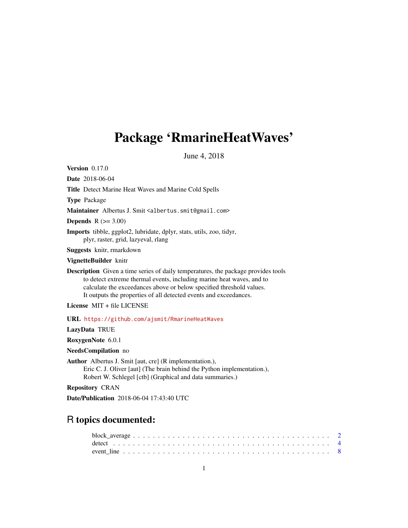## <span id="page-0-0"></span>Package 'RmarineHeatWaves'

June 4, 2018

Version 0.17.0

Date 2018-06-04 Title Detect Marine Heat Waves and Marine Cold Spells

Type Package

Maintainer Albertus J. Smit <albertus.smit@gmail.com>

Depends  $R (=3.00)$ 

Imports tibble, ggplot2, lubridate, dplyr, stats, utils, zoo, tidyr, plyr, raster, grid, lazyeval, rlang

Suggests knitr, rmarkdown

VignetteBuilder knitr

Description Given a time series of daily temperatures, the package provides tools to detect extreme thermal events, including marine heat waves, and to calculate the exceedances above or below specified threshold values. It outputs the properties of all detected events and exceedances.

License MIT + file LICENSE

URL <https://github.com/ajsmit/RmarineHeatWaves>

LazyData TRUE

RoxygenNote 6.0.1

NeedsCompilation no

Author Albertus J. Smit [aut, cre] (R implementation.),

Eric C. J. Oliver [aut] (The brain behind the Python implementation.), Robert W. Schlegel [ctb] (Graphical and data summaries.)

Repository CRAN

Date/Publication 2018-06-04 17:43:40 UTC

## R topics documented: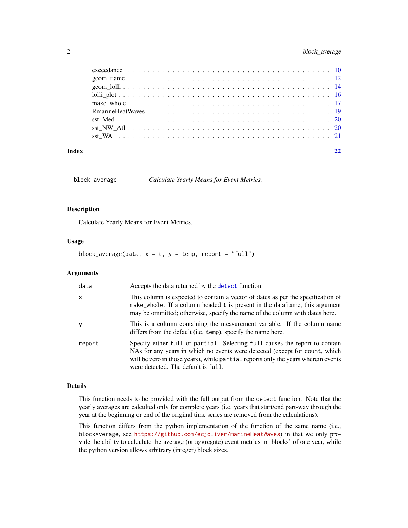<span id="page-1-0"></span>

| Index |  |
|-------|--|
|       |  |
|       |  |
|       |  |
|       |  |
|       |  |
|       |  |
|       |  |
|       |  |
|       |  |

block\_average *Calculate Yearly Means for Event Metrics.*

#### Description

Calculate Yearly Means for Event Metrics.

#### Usage

block\_average(data,  $x = t$ ,  $y = temp$ , report = "full")

#### Arguments

| data         | Accepts the data returned by the detect function.                                                                                                                                                                                                                                      |
|--------------|----------------------------------------------------------------------------------------------------------------------------------------------------------------------------------------------------------------------------------------------------------------------------------------|
| $\mathsf{x}$ | This column is expected to contain a vector of dates as per the specification of<br>make_whole. If a column headed t is present in the dataframe, this argument<br>may be ommitted; otherwise, specify the name of the column with dates here.                                         |
| <sub>V</sub> | This is a column containing the measurement variable. If the column name<br>differs from the default (i.e. temp), specify the name here.                                                                                                                                               |
| report       | Specify either full or partial. Selecting full causes the report to contain<br>NAs for any years in which no events were detected (except for count, which<br>will be zero in those years), while partial reports only the years wherein events<br>were detected. The default is full. |

#### Details

This function needs to be provided with the full output from the detect function. Note that the yearly averages are calculted only for complete years (i.e. years that start/end part-way through the year at the beginning or end of the original time series are removed from the calculations).

This function differs from the python implementation of the function of the same name (i.e., blockAverage, see <https://github.com/ecjoliver/marineHeatWaves>) in that we only provide the ability to calculate the average (or aggregate) event metrics in 'blocks' of one year, while the python version allows arbitrary (integer) block sizes.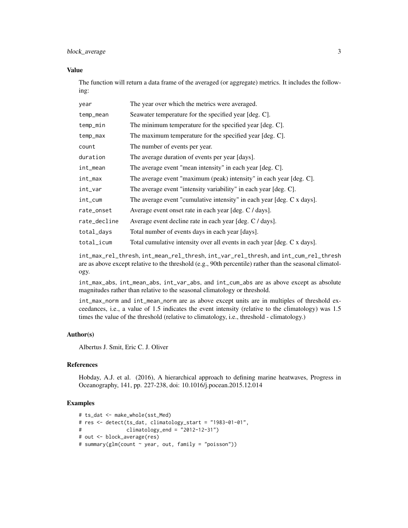block\_average 3

#### Value

The function will return a data frame of the averaged (or aggregate) metrics. It includes the following:

| year         | The year over which the metrics were averaged.                           |
|--------------|--------------------------------------------------------------------------|
| temp_mean    | Seawater temperature for the specified year [deg. C].                    |
| temp_min     | The minimum temperature for the specified year [deg. C].                 |
| temp_max     | The maximum temperature for the specified year [deg. C].                 |
| count        | The number of events per year.                                           |
| duration     | The average duration of events per year [days].                          |
| int_mean     | The average event "mean intensity" in each year [deg. C].                |
| int_max      | The average event "maximum (peak) intensity" in each year [deg. C].      |
| int_var      | The average event "intensity variability" in each year [deg. C].         |
| $int\_cum$   | The average event "cumulative intensity" in each year [deg. C x days].   |
| rate_onset   | Average event onset rate in each year [deg. C / days].                   |
| rate_decline | Average event decline rate in each year [deg. C / days].                 |
| total_days   | Total number of events days in each year [days].                         |
| total_icum   | Total cumulative intensity over all events in each year [deg. C x days]. |

int\_max\_rel\_thresh, int\_mean\_rel\_thresh, int\_var\_rel\_thresh, and int\_cum\_rel\_thresh are as above except relative to the threshold (e.g., 90th percentile) rather than the seasonal climatology.

int\_max\_abs, int\_mean\_abs, int\_var\_abs, and int\_cum\_abs are as above except as absolute magnitudes rather than relative to the seasonal climatology or threshold.

int\_max\_norm and int\_mean\_norm are as above except units are in multiples of threshold exceedances, i.e., a value of 1.5 indicates the event intensity (relative to the climatology) was 1.5 times the value of the threshold (relative to climatology, i.e., threshold - climatology.)

#### Author(s)

Albertus J. Smit, Eric C. J. Oliver

#### References

Hobday, A.J. et al. (2016), A hierarchical approach to defining marine heatwaves, Progress in Oceanography, 141, pp. 227-238, doi: 10.1016/j.pocean.2015.12.014

#### Examples

```
# ts_dat <- make_whole(sst_Med)
# res <- detect(ts_dat, climatology_start = "1983-01-01",
# climatology_end = "2012-12-31")
# out <- block_average(res)
# summary(glm(count ~ year, out, family = "poisson"))
```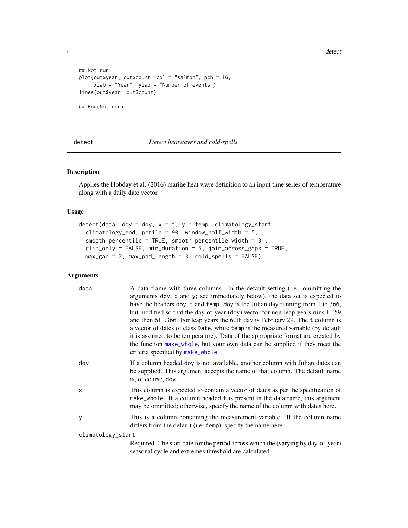**4** detect **detect detect detect detect detect detect** 

```
## Not run:
plot(out$year, out$count, col = "salmon", pch = 16,
    xlab = "Year", ylab = "Number of events")
lines(out$year, out$count)
## End(Not run)
```
<span id="page-3-1"></span>detect *Detect heatwaves and cold-spells.*

#### Description

Applies the Hobday et al. (2016) marine heat wave definition to an input time series of temperature along with a daily date vector.

#### Usage

```
detect(data, doy = doy, x = t, y = temp, climatology-start,climatology_end, pctile = 90, window_half_width = 5,
  smooth_percentile = TRUE, smooth_percentile_width = 31,
 clim_only = FALSE, min_duration = 5, join_across_gaps = TRUE,
 max_gap = 2, max_pad_length = 3, cold_spells = FALSE)
```
#### Arguments

| data              | A data frame with three columns. In the default setting (i.e. ommitting the<br>arguments doy, x and y; see immediately below), the data set is expected to<br>have the headers doy, t and temp. doy is the Julian day running from 1 to 366,<br>but modified so that the day-of-year (doy) vector for non-leap-years runs 159<br>and then 61366. For leap years the 60th day is February 29. The t column is<br>a vector of dates of class Date, while temp is the measured variable (by default<br>it is assumed to be temperature). Data of the appropriate format are created by<br>the function make_whole, but your own data can be supplied if they meet the<br>criteria specified by make_whole. |
|-------------------|---------------------------------------------------------------------------------------------------------------------------------------------------------------------------------------------------------------------------------------------------------------------------------------------------------------------------------------------------------------------------------------------------------------------------------------------------------------------------------------------------------------------------------------------------------------------------------------------------------------------------------------------------------------------------------------------------------|
| doy               | If a column headed doy is not available, another column with Julian dates can<br>be supplied. This argument accepts the name of that column. The default name<br>is, of course, doy.                                                                                                                                                                                                                                                                                                                                                                                                                                                                                                                    |
| X                 | This column is expected to contain a vector of dates as per the specification of<br>make_whole. If a column headed t is present in the dataframe, this argument<br>may be ommitted; otherwise, specify the name of the column with dates here.                                                                                                                                                                                                                                                                                                                                                                                                                                                          |
| y                 | This is a column containing the measurement variable. If the column name<br>differs from the default (i.e. temp), specify the name here.                                                                                                                                                                                                                                                                                                                                                                                                                                                                                                                                                                |
| climatology_start |                                                                                                                                                                                                                                                                                                                                                                                                                                                                                                                                                                                                                                                                                                         |
|                   | Required. The start date for the period across which the (varying by day-of-year)<br>seasonal cycle and extremes threshold are calculated.                                                                                                                                                                                                                                                                                                                                                                                                                                                                                                                                                              |

<span id="page-3-0"></span>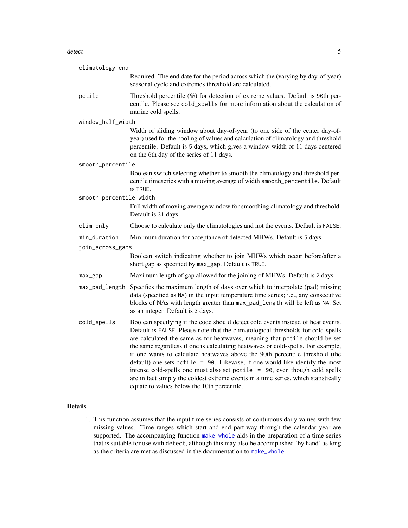#### <span id="page-4-0"></span>detect 5 and 5 and 5 and 5 and 5 and 5 and 5 and 5 and 5 and 5 and 5 and 5 and 5 and 5 and 5 and 5 and 5 and 5 and 5 and 5 and 5 and 5 and 5 and 5 and 5 and 5 and 5 and 5 and 5 and 5 and 5 and 5 and 5 and 5 and 5 and 5 and

| climatology_end         |                                                                                                                                                                                                                                                                                                                                                                                                                                                                                                                                                                                                                                                                                                                                |
|-------------------------|--------------------------------------------------------------------------------------------------------------------------------------------------------------------------------------------------------------------------------------------------------------------------------------------------------------------------------------------------------------------------------------------------------------------------------------------------------------------------------------------------------------------------------------------------------------------------------------------------------------------------------------------------------------------------------------------------------------------------------|
|                         | Required. The end date for the period across which the (varying by day-of-year)<br>seasonal cycle and extremes threshold are calculated.                                                                                                                                                                                                                                                                                                                                                                                                                                                                                                                                                                                       |
| pctile                  | Threshold percentile $(\%)$ for detection of extreme values. Default is 90th per-<br>centile. Please see cold_spells for more information about the calculation of<br>marine cold spells.                                                                                                                                                                                                                                                                                                                                                                                                                                                                                                                                      |
| window_half_width       |                                                                                                                                                                                                                                                                                                                                                                                                                                                                                                                                                                                                                                                                                                                                |
|                         | Width of sliding window about day-of-year (to one side of the center day-of-<br>year) used for the pooling of values and calculation of climatology and threshold<br>percentile. Default is 5 days, which gives a window width of 11 days centered<br>on the 6th day of the series of 11 days.                                                                                                                                                                                                                                                                                                                                                                                                                                 |
| smooth_percentile       |                                                                                                                                                                                                                                                                                                                                                                                                                                                                                                                                                                                                                                                                                                                                |
|                         | Boolean switch selecting whether to smooth the climatology and threshold per-<br>centile timeseries with a moving average of width smooth_percentile. Default<br>is TRUE.                                                                                                                                                                                                                                                                                                                                                                                                                                                                                                                                                      |
| smooth_percentile_width |                                                                                                                                                                                                                                                                                                                                                                                                                                                                                                                                                                                                                                                                                                                                |
|                         | Full width of moving average window for smoothing climatology and threshold.<br>Default is 31 days.                                                                                                                                                                                                                                                                                                                                                                                                                                                                                                                                                                                                                            |
| clim_only               | Choose to calculate only the climatologies and not the events. Default is FALSE.                                                                                                                                                                                                                                                                                                                                                                                                                                                                                                                                                                                                                                               |
| min_duration            | Minimum duration for acceptance of detected MHWs. Default is 5 days.                                                                                                                                                                                                                                                                                                                                                                                                                                                                                                                                                                                                                                                           |
| join_across_gaps        |                                                                                                                                                                                                                                                                                                                                                                                                                                                                                                                                                                                                                                                                                                                                |
|                         | Boolean switch indicating whether to join MHWs which occur before/after a<br>short gap as specified by max_gap. Default is TRUE.                                                                                                                                                                                                                                                                                                                                                                                                                                                                                                                                                                                               |
| max_gap                 | Maximum length of gap allowed for the joining of MHWs. Default is 2 days.                                                                                                                                                                                                                                                                                                                                                                                                                                                                                                                                                                                                                                                      |
| max_pad_length          | Specifies the maximum length of days over which to interpolate (pad) missing<br>data (specified as NA) in the input temperature time series; i.e., any consecutive<br>blocks of NAs with length greater than max_pad_length will be left as NA. Set<br>as an integer. Default is 3 days.                                                                                                                                                                                                                                                                                                                                                                                                                                       |
| cold_spells             | Boolean specifying if the code should detect cold events instead of heat events.<br>Default is FALSE. Please note that the climatological thresholds for cold-spells<br>are calculated the same as for heatwaves, meaning that pctile should be set<br>the same regardless if one is calculating heatwaves or cold-spells. For example,<br>if one wants to calculate heatwaves above the 90th percentile threshold (the<br>default) one sets pctile = $90$ . Likewise, if one would like identify the most<br>intense cold-spells one must also set pctile = 90, even though cold spells<br>are in fact simply the coldest extreme events in a time series, which statistically<br>equate to values below the 10th percentile. |

#### Details

1. This function assumes that the input time series consists of continuous daily values with few missing values. Time ranges which start and end part-way through the calendar year are supported. The accompanying function [make\\_whole](#page-16-1) aids in the preparation of a time series that is suitable for use with detect, although this may also be accomplished 'by hand' as long as the criteria are met as discussed in the documentation to [make\\_whole](#page-16-1).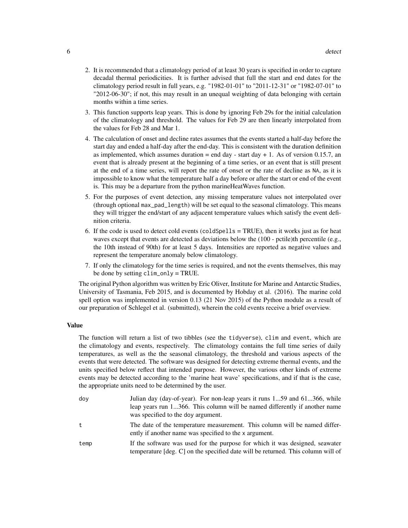- 2. It is recommended that a climatology period of at least 30 years is specified in order to capture decadal thermal periodicities. It is further advised that full the start and end dates for the climatology period result in full years, e.g. "1982-01-01" to "2011-12-31" or "1982-07-01" to "2012-06-30"; if not, this may result in an unequal weighting of data belonging with certain months within a time series.
- 3. This function supports leap years. This is done by ignoring Feb 29s for the initial calculation of the climatology and threshold. The values for Feb 29 are then linearly interpolated from the values for Feb 28 and Mar 1.
- 4. The calculation of onset and decline rates assumes that the events started a half-day before the start day and ended a half-day after the end-day. This is consistent with the duration definition as implemented, which assumes duration  $=$  end day - start day  $+1$ . As of version 0.15.7, an event that is already present at the beginning of a time series, or an event that is still present at the end of a time series, will report the rate of onset or the rate of decline as NA, as it is impossible to know what the temperature half a day before or after the start or end of the event is. This may be a departure from the python marineHeatWaves function.
- 5. For the purposes of event detection, any missing temperature values not interpolated over (through optional max\_pad\_length) will be set equal to the seasonal climatology. This means they will trigger the end/start of any adjacent temperature values which satisfy the event definition criteria.
- 6. If the code is used to detect cold events (coldSpells = TRUE), then it works just as for heat waves except that events are detected as deviations below the (100 - pctile)th percentile (e.g., the 10th instead of 90th) for at least 5 days. Intensities are reported as negative values and represent the temperature anomaly below climatology.
- 7. If only the climatology for the time series is required, and not the events themselves, this may be done by setting clim\_only = TRUE.

The original Python algorithm was written by Eric Oliver, Institute for Marine and Antarctic Studies, University of Tasmania, Feb 2015, and is documented by Hobday et al. (2016). The marine cold spell option was implemented in version 0.13 (21 Nov 2015) of the Python module as a result of our preparation of Schlegel et al. (submitted), wherein the cold events receive a brief overview.

#### Value

The function will return a list of two tibbles (see the tidyverse), clim and event, which are the climatology and events, respectively. The climatology contains the full time series of daily temperatures, as well as the the seasonal climatology, the threshold and various aspects of the events that were detected. The software was designed for detecting extreme thermal events, and the units specified below reflect that intended purpose. However, the various other kinds of extreme events may be detected according to the 'marine heat wave' specifications, and if that is the case, the appropriate units need to be determined by the user.

| dov  | Julian day (day-of-year). For non-leap years it runs 159 and 61366, while<br>leap years run 1366. This column will be named differently if another name<br>was specified to the doy argument. |
|------|-----------------------------------------------------------------------------------------------------------------------------------------------------------------------------------------------|
| t    | The date of the temperature measurement. This column will be named differ-<br>ently if another name was specified to the x argument.                                                          |
| temp | If the software was used for the purpose for which it was designed, seawater<br>temperature $[deg. C]$ on the specified date will be returned. This column will of                            |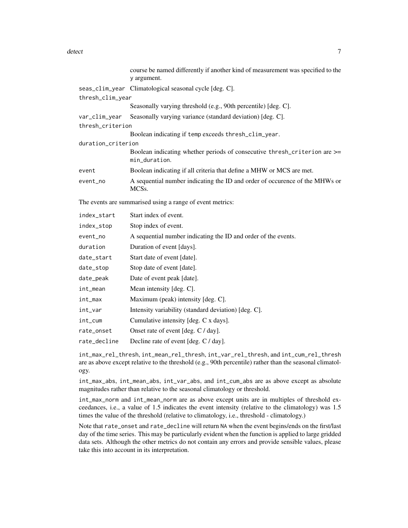|                    | course be named differently if another kind of measurement was specified to the<br>y argument. |
|--------------------|------------------------------------------------------------------------------------------------|
|                    | seas_clim_year Climatological seasonal cycle [deg. C].                                         |
| thresh_clim_year   |                                                                                                |
|                    | Seasonally varying threshold (e.g., 90th percentile) [deg. C].                                 |
| var_clim_year      | Seasonally varying variance (standard deviation) [deg. C].                                     |
| thresh_criterion   |                                                                                                |
|                    | Boolean indicating if temp exceeds thresh_clim_year.                                           |
| duration_criterion |                                                                                                |
|                    | Boolean indicating whether periods of consecutive thresh_criterion are >=<br>min_duration.     |
| event              | Boolean indicating if all criteria that define a MHW or MCS are met.                           |
| event_no           | A sequential number indicating the ID and order of occurence of the MHWs or<br>MCSs.           |
|                    | The events are summarised using a range of event metrics:                                      |
| index_start        | Start index of event.                                                                          |
| index_stop         | Stop index of event.                                                                           |
| event_no           | A sequential number indicating the ID and order of the events.                                 |
| duration           | Duration of event [days].                                                                      |
| date_start         | Start date of event [date].                                                                    |
| date_stop          | Stop date of event [date].                                                                     |
| date_peak          | Date of event peak [date].                                                                     |
| int_mean           | Mean intensity [deg. C].                                                                       |
| int_max            | Maximum (peak) intensity [deg. C].                                                             |
| int_var            | Intensity variability (standard deviation) [deg. C].                                           |
| int_cum            | Cumulative intensity [deg. C x days].                                                          |
| rate_onset         | Onset rate of event [deg. C / day].                                                            |
| rate_decline       | Decline rate of event [deg. C / day].                                                          |
|                    |                                                                                                |

int\_max\_rel\_thresh, int\_mean\_rel\_thresh, int\_var\_rel\_thresh, and int\_cum\_rel\_thresh are as above except relative to the threshold (e.g., 90th percentile) rather than the seasonal climatology.

int\_max\_abs, int\_mean\_abs, int\_var\_abs, and int\_cum\_abs are as above except as absolute magnitudes rather than relative to the seasonal climatology or threshold.

int\_max\_norm and int\_mean\_norm are as above except units are in multiples of threshold exceedances, i.e., a value of 1.5 indicates the event intensity (relative to the climatology) was 1.5 times the value of the threshold (relative to climatology, i.e., threshold - climatology.)

Note that rate\_onset and rate\_decline will return NA when the event begins/ends on the first/last day of the time series. This may be particularly evident when the function is applied to large gridded data sets. Although the other metrics do not contain any errors and provide sensible values, please take this into account in its interpretation.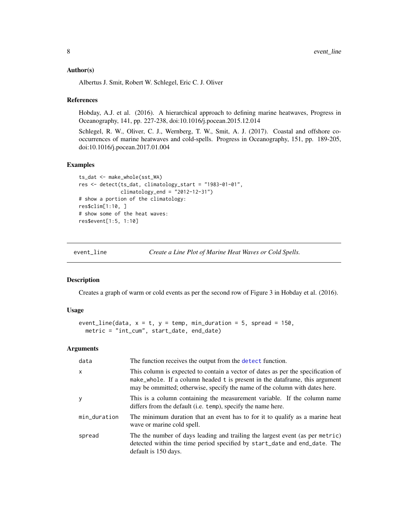#### <span id="page-7-0"></span>Author(s)

Albertus J. Smit, Robert W. Schlegel, Eric C. J. Oliver

#### References

Hobday, A.J. et al. (2016). A hierarchical approach to defining marine heatwaves, Progress in Oceanography, 141, pp. 227-238, doi:10.1016/j.pocean.2015.12.014

Schlegel, R. W., Oliver, C. J., Wernberg, T. W., Smit, A. J. (2017). Coastal and offshore cooccurrences of marine heatwaves and cold-spells. Progress in Oceanography, 151, pp. 189-205, doi:10.1016/j.pocean.2017.01.004

#### Examples

```
ts_dat <- make_whole(sst_WA)
res <- detect(ts_dat, climatology_start = "1983-01-01",
             climatology_end = "2012-12-31")
# show a portion of the climatology:
res$clim[1:10, ]
# show some of the heat waves:
res$event[1:5, 1:10]
```
<span id="page-7-1"></span>event\_line *Create a Line Plot of Marine Heat Waves or Cold Spells.*

#### Description

Creates a graph of warm or cold events as per the second row of Figure 3 in Hobday et al. (2016).

#### Usage

```
event_line(data, x = t, y = temp, min_duration = 5, spread = 150,
 metric = "int_cum", start_date, end_date)
```
#### Arguments

| data         | The function receives the output from the detect function.                                                                                                                                                                                     |
|--------------|------------------------------------------------------------------------------------------------------------------------------------------------------------------------------------------------------------------------------------------------|
| $\mathsf{x}$ | This column is expected to contain a vector of dates as per the specification of<br>make_whole. If a column headed t is present in the dataframe, this argument<br>may be ommitted; otherwise, specify the name of the column with dates here. |
| y            | This is a column containing the measurement variable. If the column name<br>differs from the default (i.e. temp), specify the name here.                                                                                                       |
| min_duration | The minimum duration that an event has to for it to qualify as a marine heat<br>wave or marine cold spell.                                                                                                                                     |
| spread       | The the number of days leading and trailing the largest event (as per metric)<br>detected within the time period specified by start_date and end_date. The<br>default is 150 days.                                                             |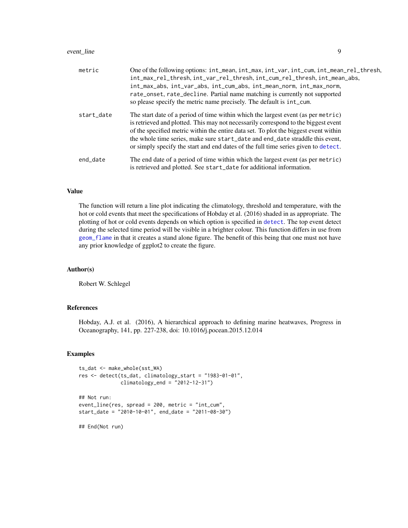#### <span id="page-8-0"></span>event\_line 9

| metric     | One of the following options: int_mean, int_max, int_var, int_cum, int_mean_rel_thresh,<br>int_max_rel_thresh, int_var_rel_thresh, int_cum_rel_thresh, int_mean_abs,<br>int_max_abs, int_var_abs, int_cum_abs, int_mean_norm, int_max_norm,<br>rate_onset, rate_decline. Partial name matching is currently not supported<br>so please specify the metric name precisely. The default is int_cum.                                      |
|------------|----------------------------------------------------------------------------------------------------------------------------------------------------------------------------------------------------------------------------------------------------------------------------------------------------------------------------------------------------------------------------------------------------------------------------------------|
| start_date | The start date of a period of time within which the largest event (as per metric)<br>is retrieved and plotted. This may not necessarily correspond to the biggest event<br>of the specified metric within the entire data set. To plot the biggest event within<br>the whole time series, make sure start_date and end_date straddle this event,<br>or simply specify the start and end dates of the full time series given to detect. |
| end_date   | The end date of a period of time within which the largest event (as per metric)<br>is retrieved and plotted. See start_date for additional information.                                                                                                                                                                                                                                                                                |

#### Value

The function will return a line plot indicating the climatology, threshold and temperature, with the hot or cold events that meet the specifications of Hobday et al. (2016) shaded in as appropriate. The plotting of hot or cold events depends on which option is specified in [detect](#page-3-1). The top event detect during the selected time period will be visible in a brighter colour. This function differs in use from [geom\\_flame](#page-11-1) in that it creates a stand alone figure. The benefit of this being that one must not have any prior knowledge of ggplot2 to create the figure.

#### Author(s)

Robert W. Schlegel

#### References

Hobday, A.J. et al. (2016), A hierarchical approach to defining marine heatwaves, Progress in Oceanography, 141, pp. 227-238, doi: 10.1016/j.pocean.2015.12.014

#### Examples

```
ts_dat <- make_whole(sst_WA)
res <- detect(ts_dat, climatology_start = "1983-01-01",
              climatology_end = "2012-12-31")
## Not run:
event_line(res, spread = 200, metric = "int_cum",
start_date = "2010-10-01", end_date = "2011-08-30")
## End(Not run)
```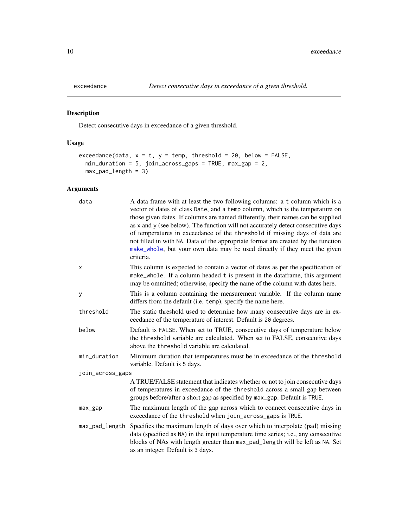<span id="page-9-1"></span><span id="page-9-0"></span>

#### Description

Detect consecutive days in exceedance of a given threshold.

#### Usage

```
exceedance(data, x = t, y = temp, threshold = 20, below = FALSE,
 min_duration = 5, join_across_gaps = TRUE, max_gap = 2,
 max_pad_length = 3)
```
### Arguments

| data             | A data frame with at least the two following columns: a t column which is a<br>vector of dates of class Date, and a temp column, which is the temperature on<br>those given dates. If columns are named differently, their names can be supplied<br>as x and y (see below). The function will not accurately detect consecutive days<br>of temperatures in exceedance of the threshold if missing days of data are<br>not filled in with NA. Data of the appropriate format are created by the function<br>make_whole, but your own data may be used directly if they meet the given<br>criteria. |
|------------------|---------------------------------------------------------------------------------------------------------------------------------------------------------------------------------------------------------------------------------------------------------------------------------------------------------------------------------------------------------------------------------------------------------------------------------------------------------------------------------------------------------------------------------------------------------------------------------------------------|
| x                | This column is expected to contain a vector of dates as per the specification of<br>make_whole. If a column headed t is present in the dataframe, this argument<br>may be ommitted; otherwise, specify the name of the column with dates here.                                                                                                                                                                                                                                                                                                                                                    |
| у                | This is a column containing the measurement variable. If the column name<br>differs from the default (i.e. temp), specify the name here.                                                                                                                                                                                                                                                                                                                                                                                                                                                          |
| threshold        | The static threshold used to determine how many consecutive days are in ex-<br>ceedance of the temperature of interest. Default is 20 degrees.                                                                                                                                                                                                                                                                                                                                                                                                                                                    |
| below            | Default is FALSE. When set to TRUE, consecutive days of temperature below<br>the threshold variable are calculated. When set to FALSE, consecutive days<br>above the threshold variable are calculated.                                                                                                                                                                                                                                                                                                                                                                                           |
| min_duration     | Minimum duration that temperatures must be in exceedance of the threshold<br>variable. Default is 5 days.                                                                                                                                                                                                                                                                                                                                                                                                                                                                                         |
| join_across_gaps |                                                                                                                                                                                                                                                                                                                                                                                                                                                                                                                                                                                                   |
|                  | A TRUE/FALSE statement that indicates whether or not to join consecutive days<br>of temperatures in exceedance of the threshold across a small gap between<br>groups before/after a short gap as specified by max_gap. Default is TRUE.                                                                                                                                                                                                                                                                                                                                                           |
| $max_{1gap$      | The maximum length of the gap across which to connect consecutive days in<br>exceedance of the threshold when join_across_gaps is TRUE.                                                                                                                                                                                                                                                                                                                                                                                                                                                           |
| max_pad_length   | Specifies the maximum length of days over which to interpolate (pad) missing<br>data (specified as NA) in the input temperature time series; i.e., any consecutive<br>blocks of NAs with length greater than max_pad_length will be left as NA. Set<br>as an integer. Default is 3 days.                                                                                                                                                                                                                                                                                                          |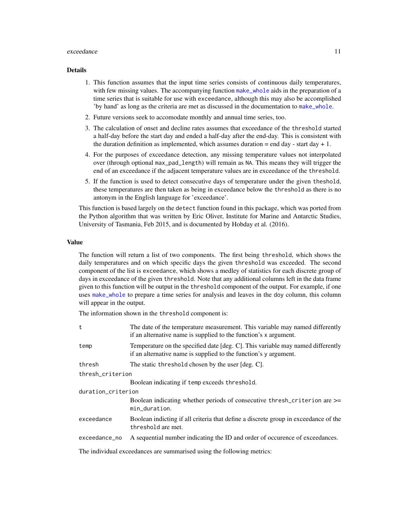#### <span id="page-10-0"></span>exceedance 11

#### Details

- 1. This function assumes that the input time series consists of continuous daily temperatures, with few missing values. The accompanying function [make\\_whole](#page-16-1) aids in the preparation of a time series that is suitable for use with exceedance, although this may also be accomplished 'by hand' as long as the criteria are met as discussed in the documentation to [make\\_whole](#page-16-1).
- 2. Future versions seek to accomodate monthly and annual time series, too.
- 3. The calculation of onset and decline rates assumes that exceedance of the threshold started a half-day before the start day and ended a half-day after the end-day. This is consistent with the duration definition as implemented, which assumes duration  $=$  end day - start day + 1.
- 4. For the purposes of exceedance detection, any missing temperature values not interpolated over (through optional max\_pad\_length) will remain as NA. This means they will trigger the end of an exceedance if the adjacent temperature values are in exceedance of the threshold.
- 5. If the function is used to detect consecutive days of temperature under the given theshold, these temperatures are then taken as being in exceedance below the threshold as there is no antonym in the English language for 'exceedance'.

This function is based largely on the detect function found in this package, which was ported from the Python algorithm that was written by Eric Oliver, Institute for Marine and Antarctic Studies, University of Tasmania, Feb 2015, and is documented by Hobday et al. (2016).

#### Value

The function will return a list of two components. The first being threshold, which shows the daily temperatures and on which specific days the given threshold was exceeded. The second component of the list is exceedance, which shows a medley of statistics for each discrete group of days in exceedance of the given threshold. Note that any additional columns left in the data frame given to this function will be output in the threshold component of the output. For example, if one uses [make\\_whole](#page-16-1) to prepare a time series for analysis and leaves in the doy column, this column will appear in the output.

The information shown in the threshold component is:

| t                                                                      | The date of the temperature measurement. This variable may named differently<br>if an alternative name is supplied to the function's x argument.    |  |
|------------------------------------------------------------------------|-----------------------------------------------------------------------------------------------------------------------------------------------------|--|
| temp                                                                   | Temperature on the specified date [deg. C]. This variable may named differently<br>if an alternative name is supplied to the function's y argument. |  |
| thresh                                                                 | The static threshold chosen by the user [deg. C].                                                                                                   |  |
| thresh_criterion                                                       |                                                                                                                                                     |  |
|                                                                        | Boolean indicating if temp exceeds threshold.                                                                                                       |  |
| duration_criterion                                                     |                                                                                                                                                     |  |
|                                                                        | Boolean indicating whether periods of consecutive thresh_criterion are >=<br>min_duration.                                                          |  |
| exceedance                                                             | Boolean indicting if all criteria that define a discrete group in exceedance of the<br>threshold are met.                                           |  |
| exceedance_no                                                          | A sequential number indicating the ID and order of occurence of exceedances.                                                                        |  |
| The individual exceedances are summarised using the following metrics: |                                                                                                                                                     |  |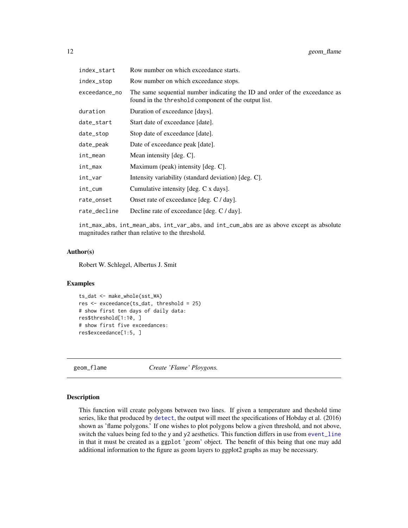<span id="page-11-0"></span>

| index_start   | Row number on which exceedance starts.                                                                                              |
|---------------|-------------------------------------------------------------------------------------------------------------------------------------|
| index_stop    | Row number on which exceedance stops.                                                                                               |
| exceedance_no | The same sequential number indicating the ID and order of the exceedance as<br>found in the threshold component of the output list. |
| duration      | Duration of exceedance [days].                                                                                                      |
| date_start    | Start date of exceedance [date].                                                                                                    |
| date_stop     | Stop date of exceedance [date].                                                                                                     |
| date_peak     | Date of exceedance peak [date].                                                                                                     |
| int_mean      | Mean intensity $[deg. C]$ .                                                                                                         |
| int_max       | Maximum (peak) intensity [deg. C].                                                                                                  |
| int_var       | Intensity variability (standard deviation) [deg. C].                                                                                |
| int_cum       | Cumulative intensity [deg. C x days].                                                                                               |
| rate_onset    | Onset rate of exceedance [deg. C / day].                                                                                            |
| rate_decline  | Decline rate of exceedance [deg. C / day].                                                                                          |

int\_max\_abs, int\_mean\_abs, int\_var\_abs, and int\_cum\_abs are as above except as absolute magnitudes rather than relative to the threshold.

#### Author(s)

Robert W. Schlegel, Albertus J. Smit

#### Examples

```
ts_dat <- make_whole(sst_WA)
res <- exceedance(ts_dat, threshold = 25)
# show first ten days of daily data:
res$threshold[1:10, ]
# show first five exceedances:
res$exceedance[1:5, ]
```
<span id="page-11-1"></span>geom\_flame *Create 'Flame' Ploygons.*

#### Description

This function will create polygons between two lines. If given a temperature and theshold time series, like that produced by [detect](#page-3-1), the output will meet the specifications of Hobday et al. (2016) shown as 'flame polygons.' If one wishes to plot polygons below a given threshold, and not above, switch the values being fed to the y and y2 aesthetics. This function differs in use from [event\\_line](#page-7-1) in that it must be created as a ggplot 'geom' object. The benefit of this being that one may add additional information to the figure as geom layers to ggplot2 graphs as may be necessary.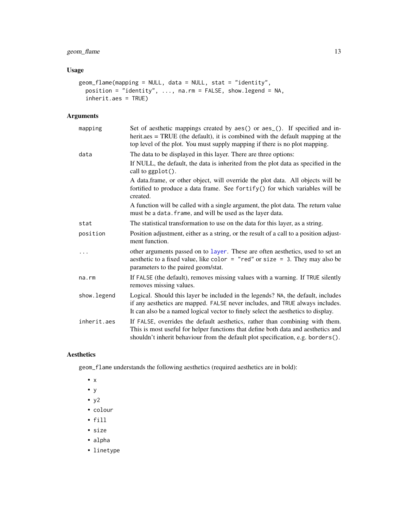### <span id="page-12-0"></span>geom\_flame 13

#### Usage

```
geom_flame(mapping = NULL, data = NULL, stat = "identity",
 position = "identity", ..., na.rm = FALSE, show.legend = NA,
 inherit.aes = TRUE)
```
#### Arguments

| mapping      | Set of aesthetic mappings created by aes() or aes_(). If specified and in-<br>$herit. aes = TRUE$ (the default), it is combined with the default mapping at the<br>top level of the plot. You must supply mapping if there is no plot mapping.         |
|--------------|--------------------------------------------------------------------------------------------------------------------------------------------------------------------------------------------------------------------------------------------------------|
| data         | The data to be displayed in this layer. There are three options:                                                                                                                                                                                       |
|              | If NULL, the default, the data is inherited from the plot data as specified in the<br>call to ggplot().                                                                                                                                                |
|              | A data.frame, or other object, will override the plot data. All objects will be<br>fortified to produce a data frame. See fortify() for which variables will be<br>created.                                                                            |
|              | A function will be called with a single argument, the plot data. The return value<br>must be a data. frame, and will be used as the layer data.                                                                                                        |
| stat         | The statistical transformation to use on the data for this layer, as a string.                                                                                                                                                                         |
| position     | Position adjustment, either as a string, or the result of a call to a position adjust-<br>ment function.                                                                                                                                               |
|              | other arguments passed on to layer. These are often aesthetics, used to set an<br>aesthetic to a fixed value, like color = "red" or size = 3. They may also be<br>parameters to the paired geom/stat.                                                  |
| na.rm        | If FALSE (the default), removes missing values with a warning. If TRUE silently<br>removes missing values.                                                                                                                                             |
| show. legend | Logical. Should this layer be included in the legends? NA, the default, includes<br>if any aesthetics are mapped. FALSE never includes, and TRUE always includes.<br>It can also be a named logical vector to finely select the aesthetics to display. |
| inherit.aes  | If FALSE, overrides the default aesthetics, rather than combining with them.<br>This is most useful for helper functions that define both data and aesthetics and<br>shouldn't inherit behaviour from the default plot specification, e.g. borders().  |

#### Aesthetics

geom\_flame understands the following aesthetics (required aesthetics are in bold):

- x
- y
- $\cdot$  y2
- colour
- fill
- size
- alpha
- linetype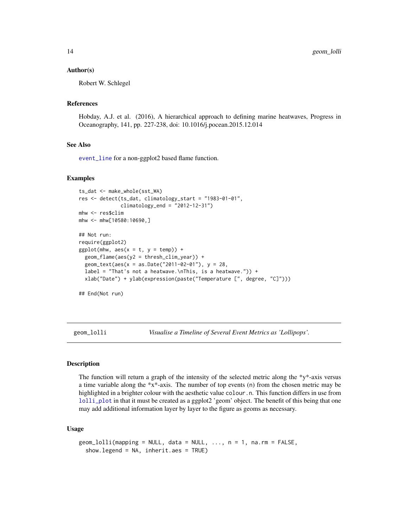#### <span id="page-13-0"></span>Author(s)

Robert W. Schlegel

#### References

Hobday, A.J. et al. (2016), A hierarchical approach to defining marine heatwaves, Progress in Oceanography, 141, pp. 227-238, doi: 10.1016/j.pocean.2015.12.014

#### See Also

[event\\_line](#page-7-1) for a non-ggplot2 based flame function.

#### Examples

```
ts_dat <- make_whole(sst_WA)
res <- detect(ts_dat, climatology_start = "1983-01-01",
              climatology_end = "2012-12-31")
mhw <- res$clim
mhw <- mhw[10580:10690,]
## Not run:
require(ggplot2)
ggplot(mhw, aes(x = t, y = temp)) +
  geom_flame(aes(y2 = thresh_clim_year)) +
  geom_text(aes(x = as.Date("2011-02-01"), y = 28,
  label = "That's not a heatwave.\nThis, is a heatwave.")) +
  xlab("Date") + ylab(expression(paste("Temperature [", degree, "C]")))
```
## End(Not run)

<span id="page-13-1"></span>geom\_lolli *Visualise a Timeline of Several Event Metrics as 'Lollipops'.*

#### Description

The function will return a graph of the intensity of the selected metric along the \*y\*-axis versus a time variable along the  $*x^*$ -axis. The number of top events (n) from the chosen metric may be highlighted in a brighter colour with the aesthetic value colour.n. This function differs in use from [lolli\\_plot](#page-15-1) in that it must be created as a ggplot2 'geom' object. The benefit of this being that one may add additional information layer by layer to the figure as geoms as necessary.

#### Usage

```
geom\_blli(mapping = NULL, data = NULL, ..., n = 1, na.rm = FALSE,show.legend = NA, inherit.aes = TRUE)
```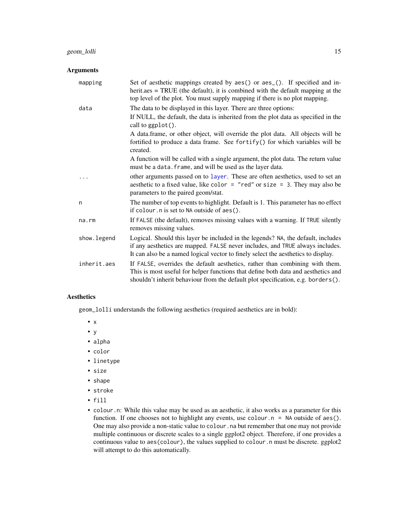#### <span id="page-14-0"></span>Arguments

| mapping     | Set of aesthetic mappings created by aes() or aes_(). If specified and in-<br>herit.aes = TRUE (the default), it is combined with the default mapping at the<br>top level of the plot. You must supply mapping if there is no plot mapping.            |
|-------------|--------------------------------------------------------------------------------------------------------------------------------------------------------------------------------------------------------------------------------------------------------|
| data        | The data to be displayed in this layer. There are three options:                                                                                                                                                                                       |
|             | If NULL, the default, the data is inherited from the plot data as specified in the<br>call to ggplot().                                                                                                                                                |
|             | A data.frame, or other object, will override the plot data. All objects will be<br>fortified to produce a data frame. See fortify() for which variables will be<br>created.                                                                            |
|             | A function will be called with a single argument, the plot data. The return value<br>must be a data. frame, and will be used as the layer data.                                                                                                        |
|             | other arguments passed on to layer. These are often aesthetics, used to set an<br>aesthetic to a fixed value, like color = "red" or size = 3. They may also be<br>parameters to the paired geom/stat.                                                  |
| n           | The number of top events to highlight. Default is 1. This parameter has no effect<br>if colour. n is set to NA outside of aes().                                                                                                                       |
| na.rm       | If FALSE (the default), removes missing values with a warning. If TRUE silently<br>removes missing values.                                                                                                                                             |
| show.legend | Logical. Should this layer be included in the legends? NA, the default, includes<br>if any aesthetics are mapped. FALSE never includes, and TRUE always includes.<br>It can also be a named logical vector to finely select the aesthetics to display. |
| inherit.aes | If FALSE, overrides the default aesthetics, rather than combining with them.<br>This is most useful for helper functions that define both data and aesthetics and<br>shouldn't inherit behaviour from the default plot specification, e.g. borders().  |

#### Aesthetics

geom\_lolli understands the following aesthetics (required aesthetics are in bold):

- x
- y
- alpha
- color
- linetype
- size
- shape
- stroke
- fill
- colour.n: While this value may be used as an aesthetic, it also works as a parameter for this function. If one chooses not to highlight any events, use colour. n = NA outside of aes(). One may also provide a non-static value to colour . na but remember that one may not provide multiple continuous or discrete scales to a single ggplot2 object. Therefore, if one provides a continuous value to aes(colour), the values supplied to colour.n must be discrete. ggplot2 will attempt to do this automatically.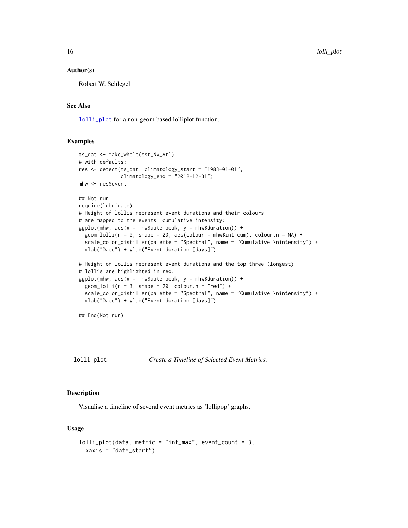#### Author(s)

Robert W. Schlegel

#### See Also

[lolli\\_plot](#page-15-1) for a non-geom based lolliplot function.

#### Examples

```
ts_dat <- make_whole(sst_NW_Atl)
# with defaults:
res <- detect(ts_dat, climatology_start = "1983-01-01",
              climatology_end = "2012-12-31")
mhw <- res$event
## Not run:
require(lubridate)
# Height of lollis represent event durations and their colours
# are mapped to the events' cumulative intensity:
ggplot(mhw, aes(x = mhw$date_peak, y = mhw$duration)) +geom\_lolli(n = 0, shape = 20, aes(colour = mhw$int\_cum), colour.n = NA) +scale_color_distiller(palette = "Spectral", name = "Cumulative \nintensity") +
  xlab("Date") + ylab("Event duration [days]")
# Height of lollis represent event durations and the top three (longest)
# lollis are highlighted in red:
ggplot(mhw, aes(x = mhw$date_peak, y = mhw$duration)) +geom\_lolli(n = 3, shape = 20, colour.n = "red") +scale_color_distiller(palette = "Spectral", name = "Cumulative \nintensity") +
  xlab("Date") + ylab("Event duration [days]")
## End(Not run)
```
<span id="page-15-1"></span>lolli\_plot *Create a Timeline of Selected Event Metrics.*

#### Description

Visualise a timeline of several event metrics as 'lollipop' graphs.

#### Usage

```
lolli_plot(data, metric = "int_max", event_count = 3,
 xaxis = "date_start")
```
<span id="page-15-0"></span>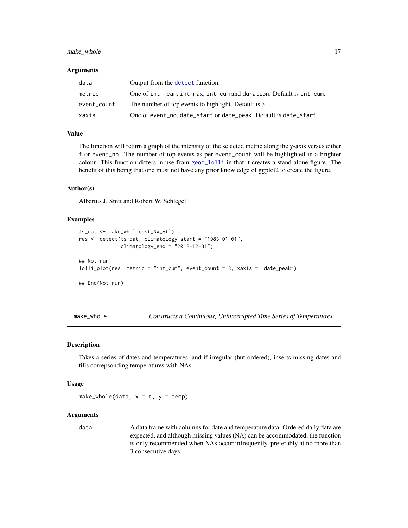#### <span id="page-16-0"></span>make\_whole 17

#### **Arguments**

| data        | Output from the detect function.                                    |
|-------------|---------------------------------------------------------------------|
| metric      | One of int_mean, int_max, int_cum and duration. Default is int_cum. |
| event_count | The number of top events to highlight. Default is 3.                |
| xaxis       | One of event_no, date_start or date_peak. Default is date_start.    |

#### Value

The function will return a graph of the intensity of the selected metric along the y-axis versus either t or event\_no. The number of top events as per event\_count will be highlighted in a brighter colour. This function differs in use from [geom\\_lolli](#page-13-1) in that it creates a stand alone figure. The benefit of this being that one must not have any prior knowledge of ggplot2 to create the figure.

#### Author(s)

Albertus J. Smit and Robert W. Schlegel

#### Examples

```
ts_dat <- make_whole(sst_NW_Atl)
res <- detect(ts_dat, climatology_start = "1983-01-01",
             climatology_end = "2012-12-31")
## Not run:
lolli_plot(res, metric = "int_cum", event_count = 3, xaxis = "date_peak")
## End(Not run)
```
<span id="page-16-1"></span>

make\_whole *Constructs a Continuous, Uninterrupted Time Series of Temperatures.*

#### **Description**

Takes a series of dates and temperatures, and if irregular (but ordered), inserts missing dates and fills correpsonding temperatures with NAs.

#### Usage

make\_whole(data,  $x = t$ ,  $y = temp$ )

#### Arguments

data A data frame with columns for date and temperature data. Ordered daily data are expected, and although missing values (NA) can be accommodated, the function is only recommended when NAs occur infrequently, preferably at no more than 3 consecutive days.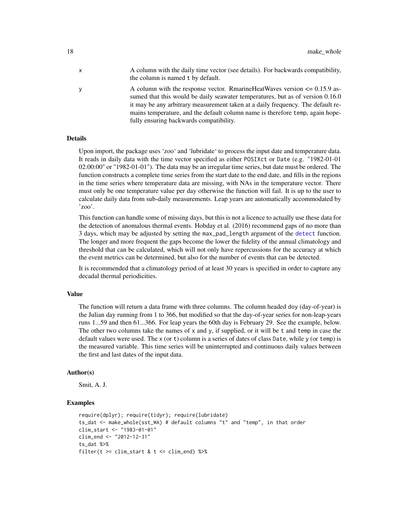- x A column with the daily time vector (see details). For backwards compatibility, the column is named t by default.
- y A column with the response vector. RmarineHeatWaves version <= 0.15.9 assumed that this would be daily seawater temperatures, but as of version 0.16.0 it may be any arbitrary measurement taken at a daily frequency. The default remains temperature, and the default column name is therefore temp, again hopefully ensuring backwards compatibility.

#### Details

Upon import, the package uses 'zoo' and 'lubridate' to process the input date and temperature data. It reads in daily data with the time vector specified as either POSIXct or Date (e.g. "1982-01-01 02:00:00" or "1982-01-01"). The data may be an irregular time series, but date must be ordered. The function constructs a complete time series from the start date to the end date, and fills in the regions in the time series where temperature data are missing, with NAs in the temperature vector. There must only be one temperature value per day otherwise the function will fail. It is up to the user to calculate daily data from sub-daily measurements. Leap years are automatically accommodated by 'zoo'.

This function can handle some of missing days, but this is not a licence to actually use these data for the detection of anomalous thermal events. Hobday et al. (2016) recommend gaps of no more than 3 days, which may be adjusted by setting the max\_pad\_length argument of the [detect](#page-3-1) function. The longer and more frequent the gaps become the lower the fidelity of the annual climatology and threshold that can be calculated, which will not only have repercussions for the accuracy at which the event metrics can be determined, but also for the number of events that can be detected.

It is recommended that a climatology period of at least 30 years is specified in order to capture any decadal thermal periodicities.

#### Value

The function will return a data frame with three columns. The column headed doy (day-of-year) is the Julian day running from 1 to 366, but modified so that the day-of-year series for non-leap-years runs 1...59 and then 61...366. For leap years the 60th day is February 29. See the example, below. The other two columns take the names of  $x$  and  $y$ , if supplied, or it will be  $t$  and temp in case the default values were used. The x (or t) column is a series of dates of class Date, while y (or temp) is the measured variable. This time series will be uninterrupted and continuous daily values between the first and last dates of the input data.

#### Author(s)

Smit, A. J.

#### Examples

```
require(dplyr); require(tidyr); require(lubridate)
ts_dat <- make_whole(sst_WA) # default columns "t" and "temp", in that order
clim_start <- "1983-01-01"
clim_end <- "2012-12-31"
ts dat % >filter(t \geq clim\_start \& t \leq clim\_end) %>%
```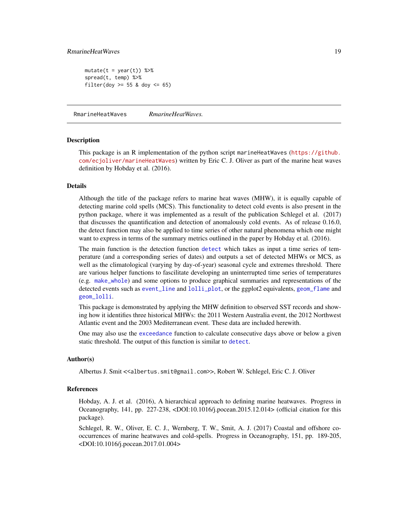#### <span id="page-18-0"></span>RmarineHeatWaves 19

```
mutate(t = year(t)) %>%
spread(t, temp) %>%
filter(doy >= 55 & doy <= 65)
```
RmarineHeatWaves *RmarineHeatWaves.*

#### Description

This package is an R implementation of the python script marineHeatWaves ([https://github.](https://github.com/ecjoliver/marineHeatWaves) [com/ecjoliver/marineHeatWaves](https://github.com/ecjoliver/marineHeatWaves)) written by Eric C. J. Oliver as part of the marine heat waves definition by Hobday et al. (2016).

#### Details

Although the title of the package refers to marine heat waves (MHW), it is equally capable of detecting marine cold spells (MCS). This functionality to detect cold events is also present in the python package, where it was implemented as a result of the publication Schlegel et al. (2017) that discusses the quantification and detection of anomalously cold events. As of release 0.16.0, the detect function may also be applied to time series of other natural phenomena which one might want to express in terms of the summary metrics outlined in the paper by Hobday et al. (2016).

The main function is the detection function [detect](#page-3-1) which takes as input a time series of temperature (and a corresponding series of dates) and outputs a set of detected MHWs or MCS, as well as the climatological (varying by day-of-year) seasonal cycle and extremes threshold. There are various helper functions to fascilitate developing an uninterrupted time series of temperatures (e.g. [make\\_whole](#page-16-1)) and some options to produce graphical summaries and representations of the detected events such as [event\\_line](#page-7-1) and [lolli\\_plot](#page-15-1), or the ggplot2 equivalents, [geom\\_flame](#page-11-1) and [geom\\_lolli](#page-13-1).

This package is demonstrated by applying the MHW definition to observed SST records and showing how it identifies three historical MHWs: the 2011 Western Australia event, the 2012 Northwest Atlantic event and the 2003 Mediterranean event. These data are included herewith.

One may also use the [exceedance](#page-9-1) function to calculate consecutive days above or below a given static threshold. The output of this function is similar to [detect](#page-3-1).

#### Author(s)

Albertus J. Smit <<albertus.smit@gmail.com>>, Robert W. Schlegel, Eric C. J. Oliver

#### References

Hobday, A. J. et al. (2016), A hierarchical approach to defining marine heatwaves. Progress in Oceanography, 141, pp. 227-238, <DOI:10.1016/j.pocean.2015.12.014> (official citation for this package).

Schlegel, R. W., Oliver, E. C. J., Wernberg, T. W., Smit, A. J. (2017) Coastal and offshore cooccurrences of marine heatwaves and cold-spells. Progress in Oceanography, 151, pp. 189-205, <DOI:10.1016/j.pocean.2017.01.004>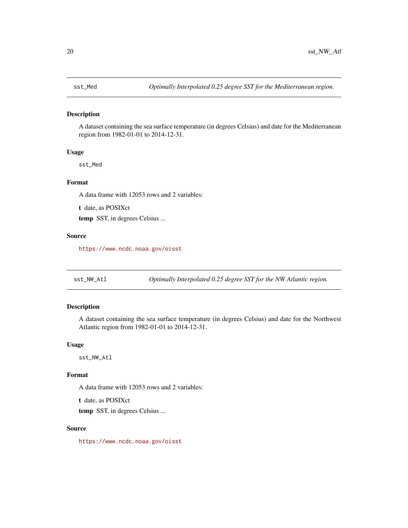#### <span id="page-19-0"></span>Description

A dataset containing the sea surface temperature (in degrees Celsius) and date for the Mediterranean region from 1982-01-01 to 2014-12-31.

#### Usage

sst\_Med

#### Format

A data frame with 12053 rows and 2 variables:

t date, as POSIXct

temp SST, in degrees Celsius ...

#### Source

<https://www.ncdc.noaa.gov/oisst>

sst\_NW\_Atl *Optimally Interpolated 0.25 degree SST for the NW Atlantic region.*

#### Description

A dataset containing the sea surface temperature (in degrees Celsius) and date for the Northwest Atlantic region from 1982-01-01 to 2014-12-31.

#### Usage

sst\_NW\_Atl

#### Format

A data frame with 12053 rows and 2 variables:

t date, as POSIXct temp SST, in degrees Celsius ...

#### Source

<https://www.ncdc.noaa.gov/oisst>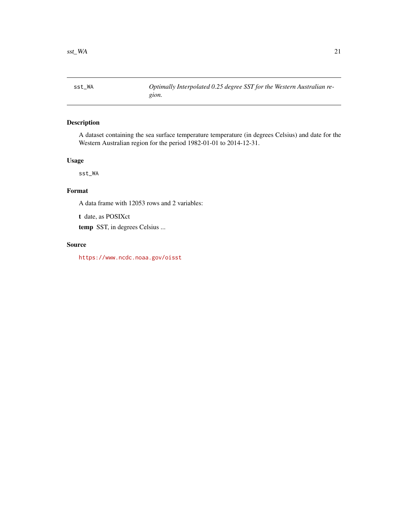<span id="page-20-0"></span>

#### Description

A dataset containing the sea surface temperature temperature (in degrees Celsius) and date for the Western Australian region for the period 1982-01-01 to 2014-12-31.

#### Usage

sst\_WA

### Format

A data frame with 12053 rows and 2 variables:

t date, as POSIXct

temp SST, in degrees Celsius ...

#### Source

<https://www.ncdc.noaa.gov/oisst>